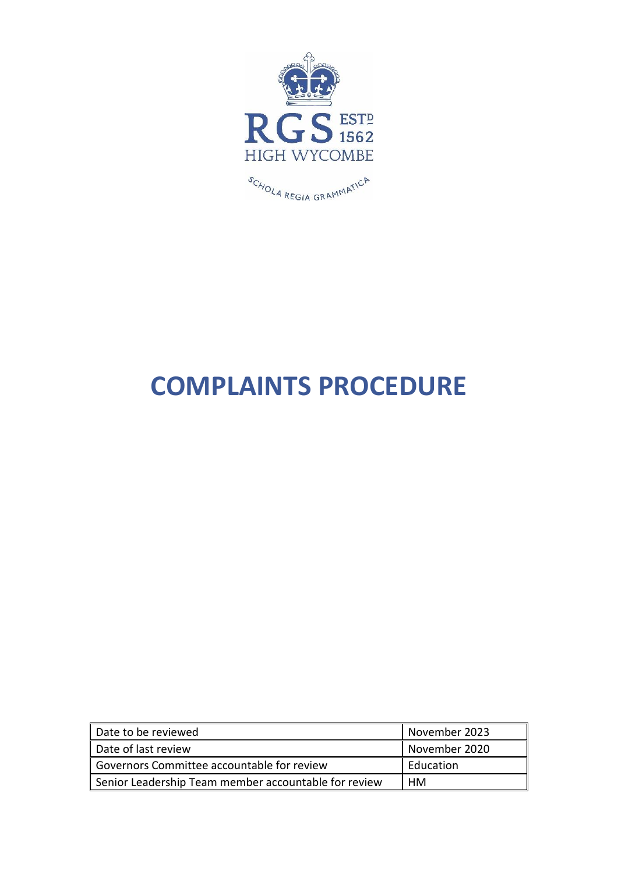

# **COMPLAINTS PROCEDURE**

| Date to be reviewed                                  | November 2023 |
|------------------------------------------------------|---------------|
| Date of last review                                  | November 2020 |
| Governors Committee accountable for review           | Education     |
| Senior Leadership Team member accountable for review | HМ            |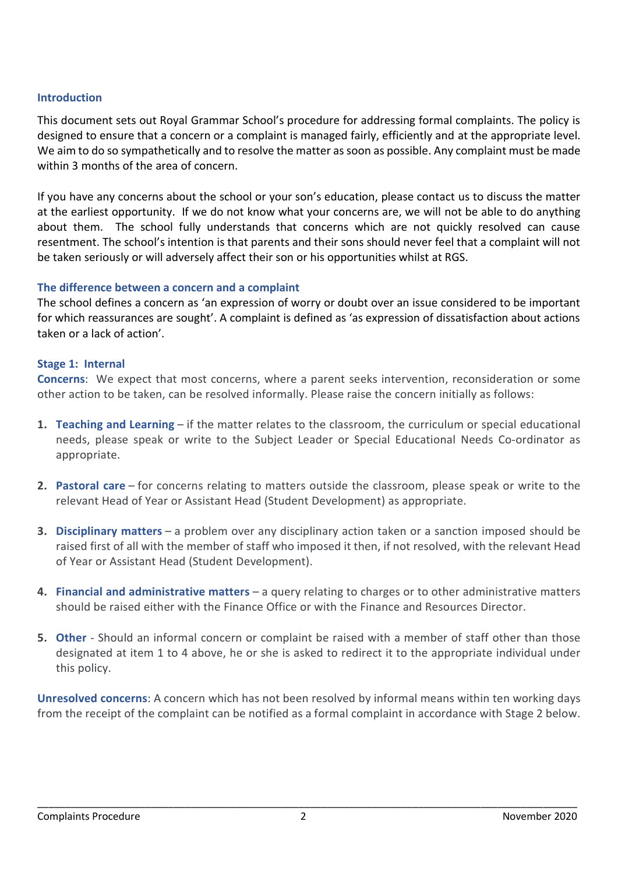## **Introduction**

This document sets out Royal Grammar School's procedure for addressing formal complaints. The policy is designed to ensure that a concern or a complaint is managed fairly, efficiently and at the appropriate level. We aim to do so sympathetically and to resolve the matter as soon as possible. Any complaint must be made within 3 months of the area of concern.

If you have any concerns about the school or your son's education, please contact us to discuss the matter at the earliest opportunity. If we do not know what your concerns are, we will not be able to do anything about them. The school fully understands that concerns which are not quickly resolved can cause resentment. The school's intention is that parents and their sons should never feel that a complaint will not be taken seriously or will adversely affect their son or his opportunities whilst at RGS.

### **The difference between a concern and a complaint**

The school defines a concern as 'an expression of worry or doubt over an issue considered to be important for which reassurances are sought'. A complaint is defined as 'as expression of dissatisfaction about actions taken or a lack of action'.

#### **Stage 1: Internal**

**Concerns**: We expect that most concerns, where a parent seeks intervention, reconsideration or some other action to be taken, can be resolved informally. Please raise the concern initially as follows:

- **1. Teaching and Learning** if the matter relates to the classroom, the curriculum or special educational needs, please speak or write to the Subject Leader or Special Educational Needs Co-ordinator as appropriate.
- **2. Pastoral care** for concerns relating to matters outside the classroom, please speak or write to the relevant Head of Year or Assistant Head (Student Development) as appropriate.
- **3. Disciplinary matters** a problem over any disciplinary action taken or a sanction imposed should be raised first of all with the member of staff who imposed it then, if not resolved, with the relevant Head of Year or Assistant Head (Student Development).
- **4. Financial and administrative matters** a query relating to charges or to other administrative matters should be raised either with the Finance Office or with the Finance and Resources Director.
- **5. Other** Should an informal concern or complaint be raised with a member of staff other than those designated at item 1 to 4 above, he or she is asked to redirect it to the appropriate individual under this policy.

**Unresolved concerns**: A concern which has not been resolved by informal means within ten working days from the receipt of the complaint can be notified as a formal complaint in accordance with Stage 2 below.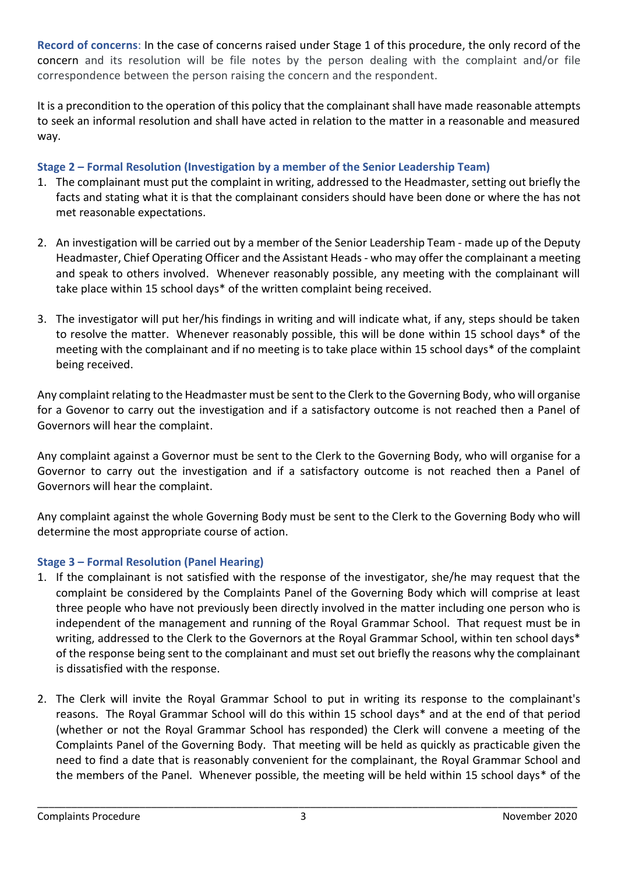**Record of concerns**: In the case of concerns raised under Stage 1 of this procedure, the only record of the concern and its resolution will be file notes by the person dealing with the complaint and/or file correspondence between the person raising the concern and the respondent.

It is a precondition to the operation of this policy that the complainant shall have made reasonable attempts to seek an informal resolution and shall have acted in relation to the matter in a reasonable and measured way.

## **Stage 2 – Formal Resolution (Investigation by a member of the Senior Leadership Team)**

- 1. The complainant must put the complaint in writing, addressed to the Headmaster, setting out briefly the facts and stating what it is that the complainant considers should have been done or where the has not met reasonable expectations.
- 2. An investigation will be carried out by a member of the Senior Leadership Team made up of the Deputy Headmaster, Chief Operating Officer and the Assistant Heads - who may offer the complainant a meeting and speak to others involved. Whenever reasonably possible, any meeting with the complainant will take place within 15 school days\* of the written complaint being received.
- 3. The investigator will put her/his findings in writing and will indicate what, if any, steps should be taken to resolve the matter. Whenever reasonably possible, this will be done within 15 school days\* of the meeting with the complainant and if no meeting is to take place within 15 school days\* of the complaint being received.

Any complaint relating to the Headmaster must be sent to the Clerk to the Governing Body, who will organise for a Govenor to carry out the investigation and if a satisfactory outcome is not reached then a Panel of Governors will hear the complaint.

Any complaint against a Governor must be sent to the Clerk to the Governing Body, who will organise for a Governor to carry out the investigation and if a satisfactory outcome is not reached then a Panel of Governors will hear the complaint.

Any complaint against the whole Governing Body must be sent to the Clerk to the Governing Body who will determine the most appropriate course of action.

# **Stage 3 – Formal Resolution (Panel Hearing)**

- 1. If the complainant is not satisfied with the response of the investigator, she/he may request that the complaint be considered by the Complaints Panel of the Governing Body which will comprise at least three people who have not previously been directly involved in the matter including one person who is independent of the management and running of the Royal Grammar School. That request must be in writing, addressed to the Clerk to the Governors at the Royal Grammar School, within ten school days\* of the response being sent to the complainant and must set out briefly the reasons why the complainant is dissatisfied with the response.
- 2. The Clerk will invite the Royal Grammar School to put in writing its response to the complainant's reasons. The Royal Grammar School will do this within 15 school days\* and at the end of that period (whether or not the Royal Grammar School has responded) the Clerk will convene a meeting of the Complaints Panel of the Governing Body. That meeting will be held as quickly as practicable given the need to find a date that is reasonably convenient for the complainant, the Royal Grammar School and the members of the Panel. Whenever possible, the meeting will be held within 15 school days\* of the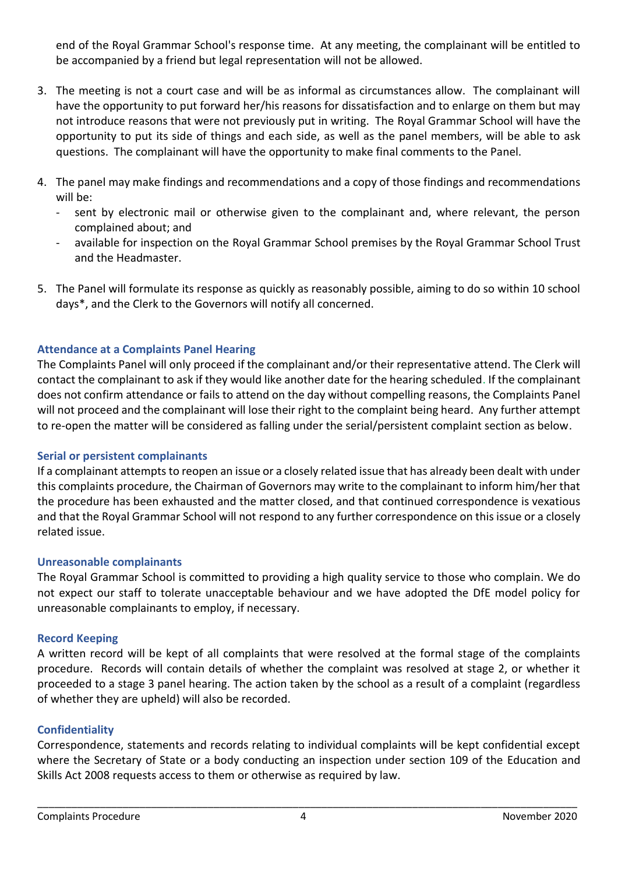end of the Royal Grammar School's response time. At any meeting, the complainant will be entitled to be accompanied by a friend but legal representation will not be allowed.

- 3. The meeting is not a court case and will be as informal as circumstances allow. The complainant will have the opportunity to put forward her/his reasons for dissatisfaction and to enlarge on them but may not introduce reasons that were not previously put in writing. The Royal Grammar School will have the opportunity to put its side of things and each side, as well as the panel members, will be able to ask questions. The complainant will have the opportunity to make final comments to the Panel.
- 4. The panel may make findings and recommendations and a copy of those findings and recommendations will be:
	- sent by electronic mail or otherwise given to the complainant and, where relevant, the person complained about; and
	- available for inspection on the Royal Grammar School premises by the Royal Grammar School Trust and the Headmaster.
- 5. The Panel will formulate its response as quickly as reasonably possible, aiming to do so within 10 school days\*, and the Clerk to the Governors will notify all concerned.

## **Attendance at a Complaints Panel Hearing**

The Complaints Panel will only proceed if the complainant and/or their representative attend. The Clerk will contact the complainant to ask if they would like another date for the hearing scheduled. If the complainant does not confirm attendance or fails to attend on the day without compelling reasons, the Complaints Panel will not proceed and the complainant will lose their right to the complaint being heard. Any further attempt to re-open the matter will be considered as falling under the serial/persistent complaint section as below.

## **Serial or persistent complainants**

If a complainant attempts to reopen an issue or a closely related issue that has already been dealt with under this complaints procedure, the Chairman of Governors may write to the complainant to inform him/her that the procedure has been exhausted and the matter closed, and that continued correspondence is vexatious and that the Royal Grammar School will not respond to any further correspondence on this issue or a closely related issue.

### **Unreasonable complainants**

The Royal Grammar School is committed to providing a high quality service to those who complain. We do not expect our staff to tolerate unacceptable behaviour and we have adopted the DfE model policy for unreasonable complainants to employ, if necessary.

### **Record Keeping**

A written record will be kept of all complaints that were resolved at the formal stage of the complaints procedure. Records will contain details of whether the complaint was resolved at stage 2, or whether it proceeded to a stage 3 panel hearing. The action taken by the school as a result of a complaint (regardless of whether they are upheld) will also be recorded.

## **Confidentiality**

Correspondence, statements and records relating to individual complaints will be kept confidential except where the Secretary of State or a body conducting an inspection under section 109 of the Education and Skills Act 2008 requests access to them or otherwise as required by law.